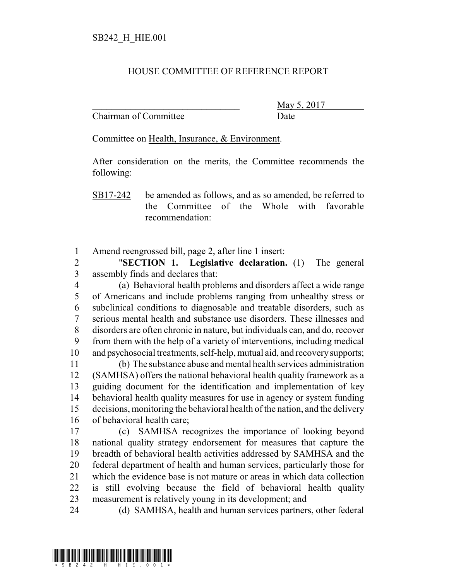## HOUSE COMMITTEE OF REFERENCE REPORT

Chairman of Committee **Date** 

May 5, 2017

Committee on Health, Insurance, & Environment.

After consideration on the merits, the Committee recommends the following:

SB17-242 be amended as follows, and as so amended, be referred to the Committee of the Whole with favorable recommendation:

Amend reengrossed bill, page 2, after line 1 insert:

 "**SECTION 1. Legislative declaration.** (1) The general assembly finds and declares that:

 (a) Behavioral health problems and disorders affect a wide range of Americans and include problems ranging from unhealthy stress or subclinical conditions to diagnosable and treatable disorders, such as serious mental health and substance use disorders. These illnesses and disorders are often chronic in nature, but individuals can, and do, recover from them with the help of a variety of interventions, including medical and psychosocial treatments, self-help, mutual aid, and recoverysupports;

 (b) The substance abuse and mental health services administration (SAMHSA) offers the national behavioral health quality framework as a guiding document for the identification and implementation of key behavioral health quality measures for use in agency or system funding decisions, monitoring the behavioral health of the nation, and the delivery of behavioral health care;

 (c) SAMHSA recognizes the importance of looking beyond national quality strategy endorsement for measures that capture the breadth of behavioral health activities addressed by SAMHSA and the federal department of health and human services, particularly those for which the evidence base is not mature or areas in which data collection is still evolving because the field of behavioral health quality measurement is relatively young in its development; and

(d) SAMHSA, health and human services partners, other federal

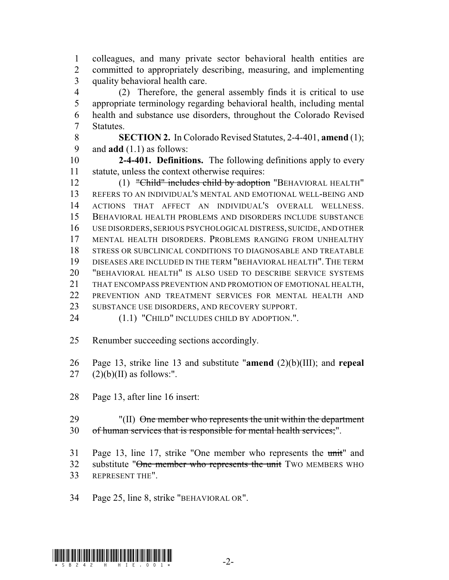colleagues, and many private sector behavioral health entities are committed to appropriately describing, measuring, and implementing quality behavioral health care.

 (2) Therefore, the general assembly finds it is critical to use appropriate terminology regarding behavioral health, including mental health and substance use disorders, throughout the Colorado Revised Statutes.

 **SECTION 2.** In Colorado Revised Statutes, 2-4-401, **amend** (1); and **add** (1.1) as follows:

 **2-4-401. Definitions.** The following definitions apply to every statute, unless the context otherwise requires:

12 (1) "Child" includes child by adoption "BEHAVIORAL HEALTH" REFERS TO AN INDIVIDUAL'S MENTAL AND EMOTIONAL WELL-BEING AND ACTIONS THAT AFFECT AN INDIVIDUAL'S OVERALL WELLNESS. BEHAVIORAL HEALTH PROBLEMS AND DISORDERS INCLUDE SUBSTANCE USE DISORDERS, SERIOUS PSYCHOLOGICAL DISTRESS, SUICIDE, AND OTHER MENTAL HEALTH DISORDERS. PROBLEMS RANGING FROM UNHEALTHY STRESS OR SUBCLINICAL CONDITIONS TO DIAGNOSABLE AND TREATABLE DISEASES ARE INCLUDED IN THE TERM "BEHAVIORAL HEALTH".THE TERM "BEHAVIORAL HEALTH" IS ALSO USED TO DESCRIBE SERVICE SYSTEMS THAT ENCOMPASS PREVENTION AND PROMOTION OF EMOTIONAL HEALTH, PREVENTION AND TREATMENT SERVICES FOR MENTAL HEALTH AND 23 SUBSTANCE USE DISORDERS, AND RECOVERY SUPPORT.

24 (1.1) "CHILD" INCLUDES CHILD BY ADOPTION.".

Renumber succeeding sections accordingly.

 Page 13, strike line 13 and substitute "**amend** (2)(b)(III); and **repeal** 27  $(2)(b)(II)$  as follows:".

Page 13, after line 16 insert:

29 "(II) One member who represents the unit within the department of human services that is responsible for mental health services;".

 Page 13, line 17, strike "One member who represents the unit" and 32 substitute "One member who represents the unit TWO MEMBERS WHO REPRESENT THE".

Page 25, line 8, strike "BEHAVIORAL OR".

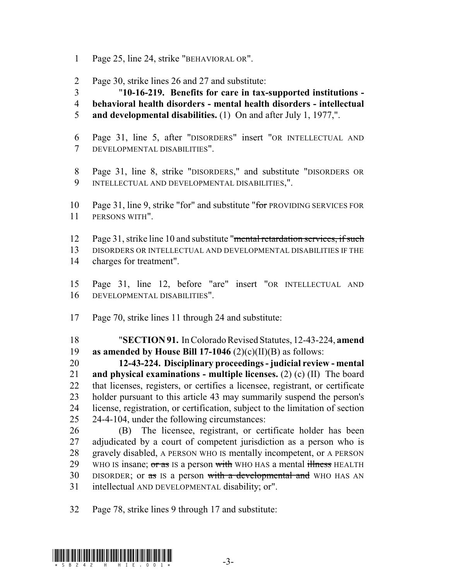- Page 25, line 24, strike "BEHAVIORAL OR".
- Page 30, strike lines 26 and 27 and substitute:

"**10-16-219. Benefits for care in tax-supported institutions -**

- **behavioral health disorders mental health disorders intellectual**
- **and developmental disabilities.** (1) On and after July 1, 1977,".
- Page 31, line 5, after "DISORDERS" insert "OR INTELLECTUAL AND DEVELOPMENTAL DISABILITIES".
- Page 31, line 8, strike "DISORDERS," and substitute "DISORDERS OR INTELLECTUAL AND DEVELOPMENTAL DISABILITIES,".
- 10 Page 31, line 9, strike "for" and substitute "for PROVIDING SERVICES FOR PERSONS WITH".
- Page 31, strike line 10 and substitute "mental retardation services, if such
- DISORDERS OR INTELLECTUAL AND DEVELOPMENTAL DISABILITIES IF THE charges for treatment".
- Page 31, line 12, before "are" insert "OR INTELLECTUAL AND DEVELOPMENTAL DISABILITIES".
- Page 70, strike lines 11 through 24 and substitute:

 "**SECTION 91.** In Colorado Revised Statutes, 12-43-224, **amend as amended by House Bill 17-1046** (2)(c)(II)(B) as follows:

 **12-43-224. Disciplinary proceedings - judicial review - mental and physical examinations - multiple licenses.** (2) (c) (II) The board that licenses, registers, or certifies a licensee, registrant, or certificate holder pursuant to this article 43 may summarily suspend the person's license, registration, or certification, subject to the limitation of section 24-4-104, under the following circumstances:

 (B) The licensee, registrant, or certificate holder has been adjudicated by a court of competent jurisdiction as a person who is gravely disabled, A PERSON WHO IS mentally incompetent, or A PERSON 29 WHO IS insane; or as IS a person with WHO HAS a mental illness HEALTH 30 DISORDER; or as IS a person with a developmental and WHO HAS AN intellectual AND DEVELOPMENTAL disability; or".

Page 78, strike lines 9 through 17 and substitute:

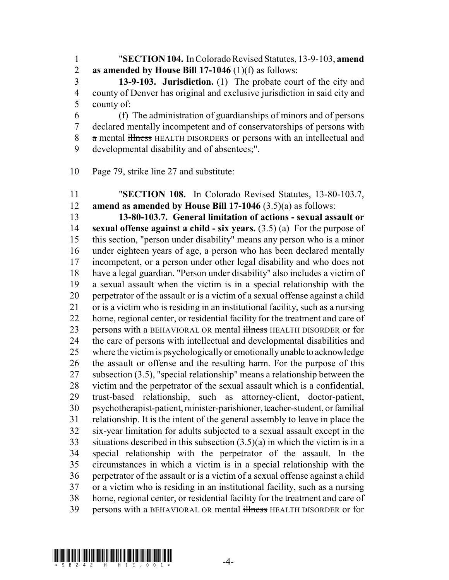"**SECTION 104.** In Colorado Revised Statutes, 13-9-103, **amend as amended by House Bill 17-1046** (1)(f) as follows:

 **13-9-103. Jurisdiction.** (1) The probate court of the city and county of Denver has original and exclusive jurisdiction in said city and county of:

 (f) The administration of guardianships of minors and of persons declared mentally incompetent and of conservatorships of persons with 8 a mental illness HEALTH DISORDERS or persons with an intellectual and developmental disability and of absentees;".

Page 79, strike line 27 and substitute:

 "**SECTION 108.** In Colorado Revised Statutes, 13-80-103.7, **amend as amended by House Bill 17-1046** (3.5)(a) as follows:

 **13-80-103.7. General limitation of actions - sexual assault or sexual offense against a child - six years.** (3.5) (a) For the purpose of this section, "person under disability" means any person who is a minor under eighteen years of age, a person who has been declared mentally incompetent, or a person under other legal disability and who does not have a legal guardian. "Person under disability" also includes a victim of a sexual assault when the victim is in a special relationship with the perpetrator of the assault or is a victim of a sexual offense against a child or is a victim who is residing in an institutional facility, such as a nursing home, regional center, or residential facility for the treatment and care of 23 persons with a BEHAVIORAL OR mental illness HEALTH DISORDER or for the care of persons with intellectual and developmental disabilities and where the victimis psychologicallyor emotionallyunable to acknowledge the assault or offense and the resulting harm. For the purpose of this subsection (3.5), "special relationship" means a relationship between the victim and the perpetrator of the sexual assault which is a confidential, trust-based relationship, such as attorney-client, doctor-patient, psychotherapist-patient, minister-parishioner,teacher-student, or familial relationship. It is the intent of the general assembly to leave in place the six-year limitation for adults subjected to a sexual assault except in the situations described in this subsection (3.5)(a) in which the victim is in a special relationship with the perpetrator of the assault. In the circumstances in which a victim is in a special relationship with the perpetrator of the assault or is a victim of a sexual offense against a child or a victim who is residing in an institutional facility, such as a nursing home, regional center, or residential facility for the treatment and care of 39 persons with a BEHAVIORAL OR mental illness HEALTH DISORDER or for

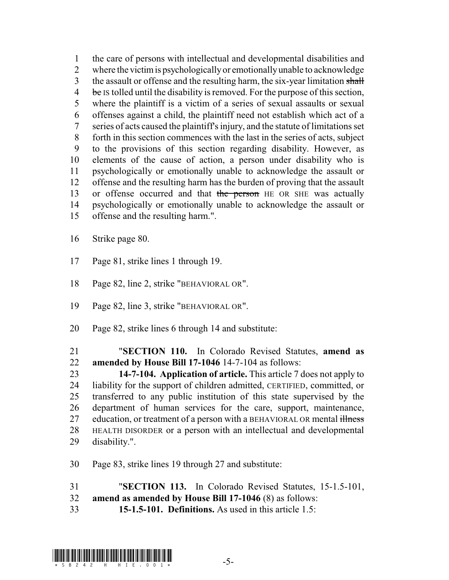the care of persons with intellectual and developmental disabilities and where the victimis psychologicallyor emotionallyunable to acknowledge 3 the assault or offense and the resulting harm, the six-year limitation shall  $\frac{1}{2}$  be Is tolled until the disability is removed. For the purpose of this section, where the plaintiff is a victim of a series of sexual assaults or sexual offenses against a child, the plaintiff need not establish which act of a series of acts caused the plaintiff's injury, and the statute of limitations set forth in this section commences with the last in the series of acts, subject to the provisions of this section regarding disability. However, as elements of the cause of action, a person under disability who is psychologically or emotionally unable to acknowledge the assault or offense and the resulting harm has the burden of proving that the assault 13 or offense occurred and that the person HE OR SHE was actually psychologically or emotionally unable to acknowledge the assault or offense and the resulting harm.".

Strike page 80.

- Page 81, strike lines 1 through 19.
- Page 82, line 2, strike "BEHAVIORAL OR".
- Page 82, line 3, strike "BEHAVIORAL OR".
- Page 82, strike lines 6 through 14 and substitute:

 "**SECTION 110.** In Colorado Revised Statutes, **amend as amended by House Bill 17-1046** 14-7-104 as follows:

 **14-7-104. Application of article.** This article 7 does not apply to liability for the support of children admitted, CERTIFIED, committed, or transferred to any public institution of this state supervised by the department of human services for the care, support, maintenance, 27 education, or treatment of a person with a BEHAVIORAL OR mental illness HEALTH DISORDER or a person with an intellectual and developmental disability.".

Page 83, strike lines 19 through 27 and substitute:

"**SECTION 113.** In Colorado Revised Statutes, 15-1.5-101,

- **amend as amended by House Bill 17-1046** (8) as follows:
- **15-1.5-101. Definitions.** As used in this article 1.5:

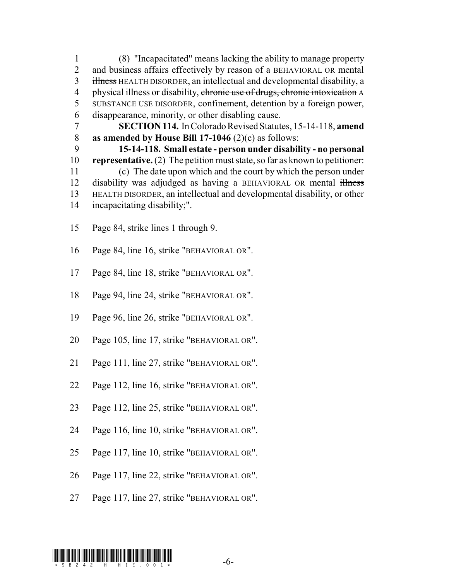(8) "Incapacitated" means lacking the ability to manage property and business affairs effectively by reason of a BEHAVIORAL OR mental 3 illness HEALTH DISORDER, an intellectual and developmental disability, a 4 physical illness or disability, chronic use of drugs, chronic intoxication A SUBSTANCE USE DISORDER, confinement, detention by a foreign power, disappearance, minority, or other disabling cause.

 **SECTION114.** In Colorado Revised Statutes, 15-14-118, **amend as amended by House Bill 17-1046** (2)(c) as follows:

 **15-14-118. Small estate - person under disability - no personal representative.** (2) The petition must state, so far as known to petitioner: (c) The date upon which and the court by which the person under 12 disability was adjudged as having a BEHAVIORAL OR mental illness HEALTH DISORDER, an intellectual and developmental disability, or other incapacitating disability;".

- Page 84, strike lines 1 through 9.
- Page 84, line 16, strike "BEHAVIORAL OR".
- Page 84, line 18, strike "BEHAVIORAL OR".
- Page 94, line 24, strike "BEHAVIORAL OR".
- Page 96, line 26, strike "BEHAVIORAL OR".
- Page 105, line 17, strike "BEHAVIORAL OR".
- Page 111, line 27, strike "BEHAVIORAL OR".
- Page 112, line 16, strike "BEHAVIORAL OR".
- Page 112, line 25, strike "BEHAVIORAL OR".
- Page 116, line 10, strike "BEHAVIORAL OR".
- Page 117, line 10, strike "BEHAVIORAL OR".
- Page 117, line 22, strike "BEHAVIORAL OR".
- Page 117, line 27, strike "BEHAVIORAL OR".

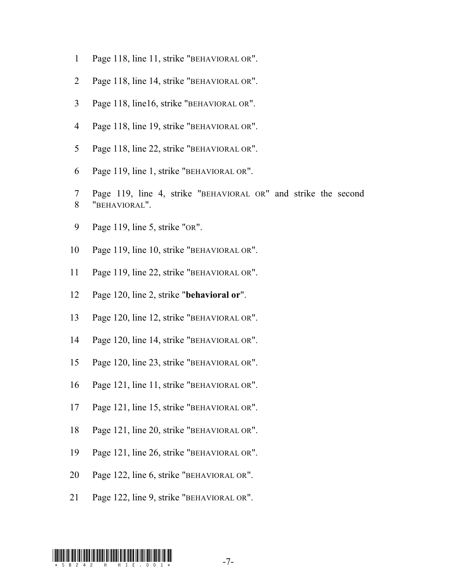- Page 118, line 11, strike "BEHAVIORAL OR".
- Page 118, line 14, strike "BEHAVIORAL OR".
- Page 118, line16, strike "BEHAVIORAL OR".
- Page 118, line 19, strike "BEHAVIORAL OR".
- Page 118, line 22, strike "BEHAVIORAL OR".
- Page 119, line 1, strike "BEHAVIORAL OR".
- Page 119, line 4, strike "BEHAVIORAL OR" and strike the second "BEHAVIORAL".
- Page 119, line 5, strike "OR".
- Page 119, line 10, strike "BEHAVIORAL OR".
- Page 119, line 22, strike "BEHAVIORAL OR".
- Page 120, line 2, strike "**behavioral or**".
- Page 120, line 12, strike "BEHAVIORAL OR".
- Page 120, line 14, strike "BEHAVIORAL OR".
- Page 120, line 23, strike "BEHAVIORAL OR".
- Page 121, line 11, strike "BEHAVIORAL OR".
- Page 121, line 15, strike "BEHAVIORAL OR".
- Page 121, line 20, strike "BEHAVIORAL OR".
- Page 121, line 26, strike "BEHAVIORAL OR".
- Page 122, line 6, strike "BEHAVIORAL OR".
- Page 122, line 9, strike "BEHAVIORAL OR".

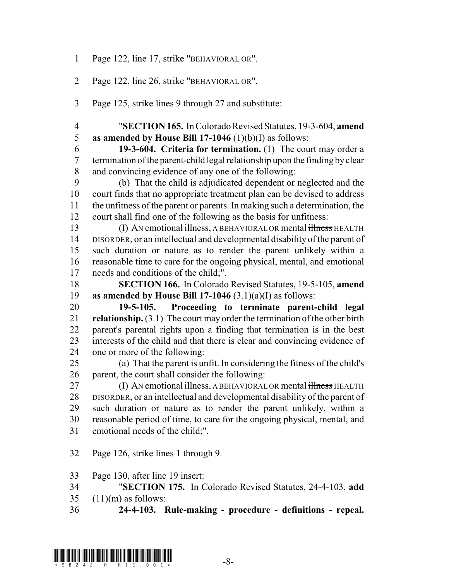- Page 122, line 17, strike "BEHAVIORAL OR".
- Page 122, line 26, strike "BEHAVIORAL OR".
- Page 125, strike lines 9 through 27 and substitute:
- "**SECTION 165.** In Colorado Revised Statutes, 19-3-604, **amend as amended by House Bill 17-1046** (1)(b)(I) as follows:
- **19-3-604. Criteria for termination.** (1) The court may order a 7 termination of the parent-child legal relationship upon the finding by clear and convincing evidence of any one of the following:
- (b) That the child is adjudicated dependent or neglected and the court finds that no appropriate treatment plan can be devised to address the unfitness of the parent or parents. In making such a determination, the court shall find one of the following as the basis for unfitness:
- 13 (I) AN emotional illness, A BEHAVIORAL OR mental illness HEALTH DISORDER, or an intellectual and developmental disability of the parent of such duration or nature as to render the parent unlikely within a reasonable time to care for the ongoing physical, mental, and emotional needs and conditions of the child;".
- **SECTION 166.** In Colorado Revised Statutes, 19-5-105, **amend as amended by House Bill 17-1046** (3.1)(a)(I) as follows:
- **19-5-105. Proceeding to terminate parent-child legal relationship.** (3.1) The court may order the termination of the other birth parent's parental rights upon a finding that termination is in the best interests of the child and that there is clear and convincing evidence of one or more of the following:
- (a) That the parent is unfit. In considering the fitness of the child's parent, the court shall consider the following:
- 27 (I) AN emotional illness, A BEHAVIORAL OR mental illness HEALTH DISORDER, or an intellectual and developmental disability of the parent of such duration or nature as to render the parent unlikely, within a reasonable period of time, to care for the ongoing physical, mental, and emotional needs of the child;".
- Page 126, strike lines 1 through 9.
- Page 130, after line 19 insert:
- "**SECTION 175.** In Colorado Revised Statutes, 24-4-103, **add** (11)(m) as follows:
- **24-4-103. Rule-making procedure definitions repeal.**

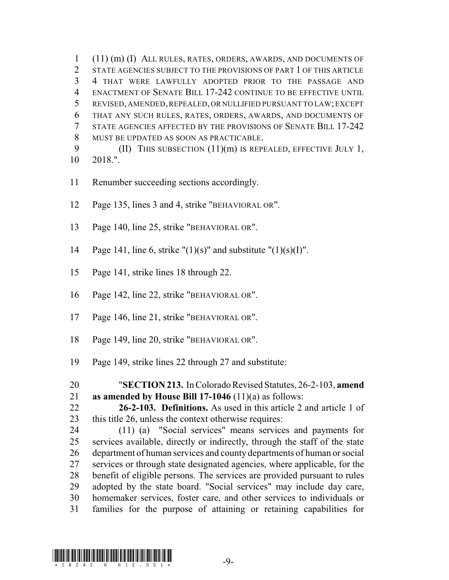(11) (m) (I) ALL RULES, RATES, ORDERS, AWARDS, AND DOCUMENTS OF 2 STATE AGENCIES SUBJECT TO THE PROVISIONS OF PART 1 OF THIS ARTICLE 4 THAT WERE LAWFULLY ADOPTED PRIOR TO THE PASSAGE AND ENACTMENT OF SENATE BILL 17-242 CONTINUE TO BE EFFECTIVE UNTIL REVISED, AMENDED,REPEALED, OR NULLIFIED PURSUANT TO LAW; EXCEPT THAT ANY SUCH RULES, RATES, ORDERS, AWARDS, AND DOCUMENTS OF STATE AGENCIES AFFECTED BY THE PROVISIONS OF SENATE BILL 17-242 MUST BE UPDATED AS SOON AS PRACTICABLE. 9 (II) THIS SUBSECTION (11)(m) IS REPEALED, EFFECTIVE JULY 1,

- 2018.".
- Renumber succeeding sections accordingly.
- Page 135, lines 3 and 4, strike "BEHAVIORAL OR".
- Page 140, line 25, strike "BEHAVIORAL OR".
- 14 Page 141, line 6, strike " $(1)(s)$ " and substitute " $(1)(s)(I)$ ".
- Page 141, strike lines 18 through 22.
- Page 142, line 22, strike "BEHAVIORAL OR".
- Page 146, line 21, strike "BEHAVIORAL OR".
- Page 149, line 20, strike "BEHAVIORAL OR".
- Page 149, strike lines 22 through 27 and substitute:

 **26-2-103. Definitions.** As used in this article 2 and article 1 of this title 26, unless the context otherwise requires:

 (11) (a) "Social services" means services and payments for services available, directly or indirectly, through the staff of the state department of human services and county departments of human or social services or through state designated agencies, where applicable, for the benefit of eligible persons. The services are provided pursuant to rules adopted by the state board. "Social services" may include day care, homemaker services, foster care, and other services to individuals or families for the purpose of attaining or retaining capabilities for



 "**SECTION 213.** In Colorado Revised Statutes, 26-2-103, **amend as amended by House Bill 17-1046** (11)(a) as follows: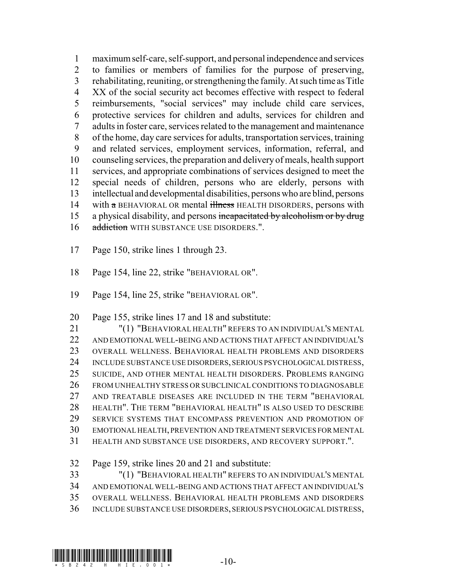maximumself-care, self-support, and personal independence and services to families or members of families for the purpose of preserving, 3 rehabilitating, reuniting, or strengthening the family. At such time as Title XX of the social security act becomes effective with respect to federal reimbursements, "social services" may include child care services, protective services for children and adults, services for children and adults in foster care, services related to the management and maintenance of the home, day care services for adults, transportation services, training and related services, employment services, information, referral, and counseling services, the preparation and delivery of meals, health support services, and appropriate combinations of services designed to meet the special needs of children, persons who are elderly, persons with intellectual and developmental disabilities, persons who are blind, persons 14 with  $\alpha$  BEHAVIORAL OR mental illness HEALTH DISORDERS, persons with 15 a physical disability, and persons incapacitated by alcoholism or by drug 16 addiction WITH SUBSTANCE USE DISORDERS.".

- Page 150, strike lines 1 through 23.
- Page 154, line 22, strike "BEHAVIORAL OR".
- Page 154, line 25, strike "BEHAVIORAL OR".
- Page 155, strike lines 17 and 18 and substitute:

 "(1) "BEHAVIORAL HEALTH" REFERS TO AN INDIVIDUAL'S MENTAL 22 AND EMOTIONAL WELL-BEING AND ACTIONS THAT AFFECT AN INDIVIDUAL'S OVERALL WELLNESS. BEHAVIORAL HEALTH PROBLEMS AND DISORDERS INCLUDE SUBSTANCE USE DISORDERS, SERIOUS PSYCHOLOGICAL DISTRESS, SUICIDE, AND OTHER MENTAL HEALTH DISORDERS. PROBLEMS RANGING FROM UNHEALTHY STRESS OR SUBCLINICAL CONDITIONS TO DIAGNOSABLE AND TREATABLE DISEASES ARE INCLUDED IN THE TERM "BEHAVIORAL HEALTH". THE TERM "BEHAVIORAL HEALTH" IS ALSO USED TO DESCRIBE SERVICE SYSTEMS THAT ENCOMPASS PREVENTION AND PROMOTION OF EMOTIONAL HEALTH, PREVENTION AND TREATMENT SERVICES FOR MENTAL HEALTH AND SUBSTANCE USE DISORDERS, AND RECOVERY SUPPORT.".

Page 159, strike lines 20 and 21 and substitute:

 "(1) "BEHAVIORAL HEALTH" REFERS TO AN INDIVIDUAL'S MENTAL AND EMOTIONALWELL-BEING AND ACTIONS THAT AFFECT AN INDIVIDUAL'S OVERALL WELLNESS. BEHAVIORAL HEALTH PROBLEMS AND DISORDERS INCLUDE SUBSTANCE USE DISORDERS, SERIOUS PSYCHOLOGICAL DISTRESS,

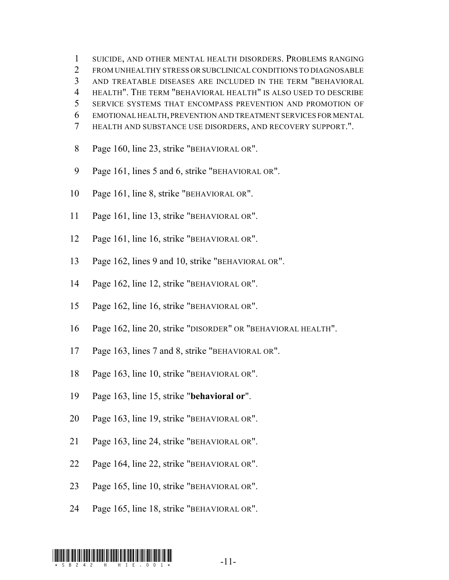SUICIDE, AND OTHER MENTAL HEALTH DISORDERS. PROBLEMS RANGING 2 FROM UNHEALTHY STRESS OR SUBCLINICAL CONDITIONS TO DIAGNOSABLE AND TREATABLE DISEASES ARE INCLUDED IN THE TERM "BEHAVIORAL HEALTH". THE TERM "BEHAVIORAL HEALTH" IS ALSO USED TO DESCRIBE SERVICE SYSTEMS THAT ENCOMPASS PREVENTION AND PROMOTION OF EMOTIONAL HEALTH, PREVENTION AND TREATMENT SERVICES FOR MENTAL HEALTH AND SUBSTANCE USE DISORDERS, AND RECOVERY SUPPORT.".

- 8 Page 160, line 23, strike "BEHAVIORAL OR".
- 9 Page 161, lines 5 and 6, strike "BEHAVIORAL OR".
- Page 161, line 8, strike "BEHAVIORAL OR".
- Page 161, line 13, strike "BEHAVIORAL OR".
- Page 161, line 16, strike "BEHAVIORAL OR".
- Page 162, lines 9 and 10, strike "BEHAVIORAL OR".
- Page 162, line 12, strike "BEHAVIORAL OR".
- Page 162, line 16, strike "BEHAVIORAL OR".
- Page 162, line 20, strike "DISORDER" OR "BEHAVIORAL HEALTH".
- Page 163, lines 7 and 8, strike "BEHAVIORAL OR".
- Page 163, line 10, strike "BEHAVIORAL OR".
- Page 163, line 15, strike "**behavioral or**".
- Page 163, line 19, strike "BEHAVIORAL OR".
- Page 163, line 24, strike "BEHAVIORAL OR".
- Page 164, line 22, strike "BEHAVIORAL OR".
- Page 165, line 10, strike "BEHAVIORAL OR".
- Page 165, line 18, strike "BEHAVIORAL OR".

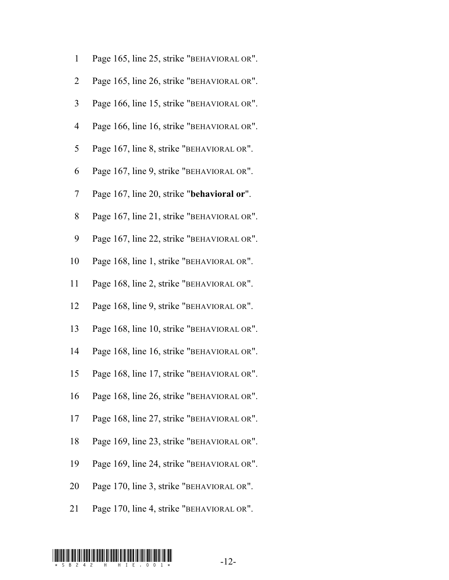| $\mathbf{1}$             | Page 165, line 25, strike "BEHAVIORAL OR". |
|--------------------------|--------------------------------------------|
| $\overline{2}$           | Page 165, line 26, strike "BEHAVIORAL OR". |
| $\mathfrak{Z}$           | Page 166, line 15, strike "BEHAVIORAL OR". |
| $\overline{\mathcal{A}}$ | Page 166, line 16, strike "BEHAVIORAL OR". |
| 5                        | Page 167, line 8, strike "BEHAVIORAL OR".  |
| 6                        | Page 167, line 9, strike "BEHAVIORAL OR".  |
| 7                        | Page 167, line 20, strike "behavioral or". |
| 8                        | Page 167, line 21, strike "BEHAVIORAL OR". |
| 9                        | Page 167, line 22, strike "BEHAVIORAL OR". |
| 10                       | Page 168, line 1, strike "BEHAVIORAL OR".  |
| 11                       | Page 168, line 2, strike "BEHAVIORAL OR".  |
| 12                       | Page 168, line 9, strike "BEHAVIORAL OR".  |
| 13                       | Page 168, line 10, strike "BEHAVIORAL OR". |
| 14                       | Page 168, line 16, strike "BEHAVIORAL OR". |
| 15                       | Page 168, line 17, strike "BEHAVIORAL OR". |
| 16                       | Page 168, line 26, strike "BEHAVIORAL OR". |
| 17                       | Page 168, line 27, strike "BEHAVIORAL OR". |
| 18                       | Page 169, line 23, strike "BEHAVIORAL OR". |
| 19                       | Page 169, line 24, strike "BEHAVIORAL OR". |
| 20                       | Page 170, line 3, strike "BEHAVIORAL OR".  |
| 21                       | Page 170, line 4, strike "BEHAVIORAL OR".  |

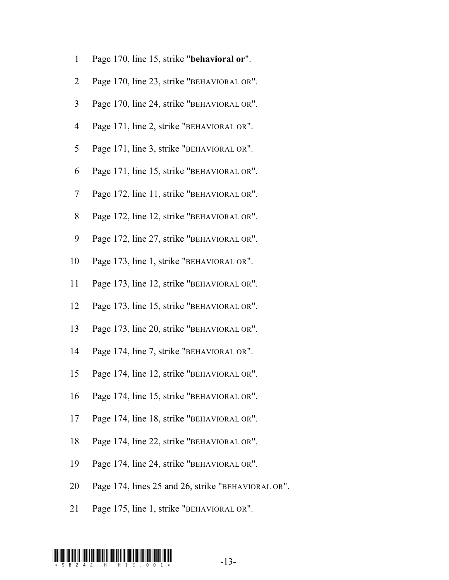| $\mathbf{1}$             | Page 170, line 15, strike "behavioral or".         |
|--------------------------|----------------------------------------------------|
| $\overline{2}$           | Page 170, line 23, strike "BEHAVIORAL OR".         |
| 3                        | Page 170, line 24, strike "BEHAVIORAL OR".         |
| $\overline{\mathcal{A}}$ | Page 171, line 2, strike "BEHAVIORAL OR".          |
| 5                        | Page 171, line 3, strike "BEHAVIORAL OR".          |
| 6                        | Page 171, line 15, strike "BEHAVIORAL OR".         |
| 7                        | Page 172, line 11, strike "BEHAVIORAL OR".         |
| 8                        | Page 172, line 12, strike "BEHAVIORAL OR".         |
| 9                        | Page 172, line 27, strike "BEHAVIORAL OR".         |
| 10                       | Page 173, line 1, strike "BEHAVIORAL OR".          |
| 11                       | Page 173, line 12, strike "BEHAVIORAL OR".         |
| 12                       | Page 173, line 15, strike "BEHAVIORAL OR".         |
| 13                       | Page 173, line 20, strike "BEHAVIORAL OR".         |
| 14                       | Page 174, line 7, strike "BEHAVIORAL OR".          |
| 15                       | Page 174, line 12, strike "BEHAVIORAL OR".         |
| 16                       | Page 174, line 15, strike "BEHAVIORAL OR".         |
| 17                       | Page 174, line 18, strike "BEHAVIORAL OR".         |
| 18                       | Page 174, line 22, strike "BEHAVIORAL OR".         |
| 19                       | Page 174, line 24, strike "BEHAVIORAL OR".         |
| 20                       | Page 174, lines 25 and 26, strike "BEHAVIORAL OR". |
|                          |                                                    |

Page 175, line 1, strike "BEHAVIORAL OR".

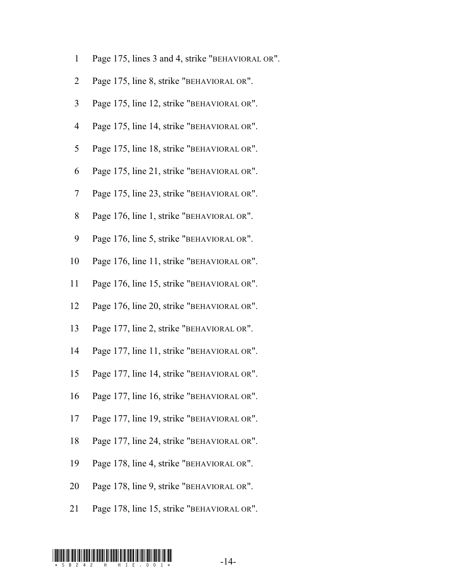- Page 175, lines 3 and 4, strike "BEHAVIORAL OR".
- Page 175, line 8, strike "BEHAVIORAL OR".
- Page 175, line 12, strike "BEHAVIORAL OR".
- Page 175, line 14, strike "BEHAVIORAL OR".
- Page 175, line 18, strike "BEHAVIORAL OR".
- Page 175, line 21, strike "BEHAVIORAL OR".
- 7 Page 175, line 23, strike "BEHAVIORAL OR".
- 8 Page 176, line 1, strike "BEHAVIORAL OR".
- 9 Page 176, line 5, strike "BEHAVIORAL OR".
- Page 176, line 11, strike "BEHAVIORAL OR".
- Page 176, line 15, strike "BEHAVIORAL OR".
- Page 176, line 20, strike "BEHAVIORAL OR".
- Page 177, line 2, strike "BEHAVIORAL OR".
- Page 177, line 11, strike "BEHAVIORAL OR".
- Page 177, line 14, strike "BEHAVIORAL OR".
- Page 177, line 16, strike "BEHAVIORAL OR".
- Page 177, line 19, strike "BEHAVIORAL OR".
- Page 177, line 24, strike "BEHAVIORAL OR".
- Page 178, line 4, strike "BEHAVIORAL OR".
- Page 178, line 9, strike "BEHAVIORAL OR".
- Page 178, line 15, strike "BEHAVIORAL OR".